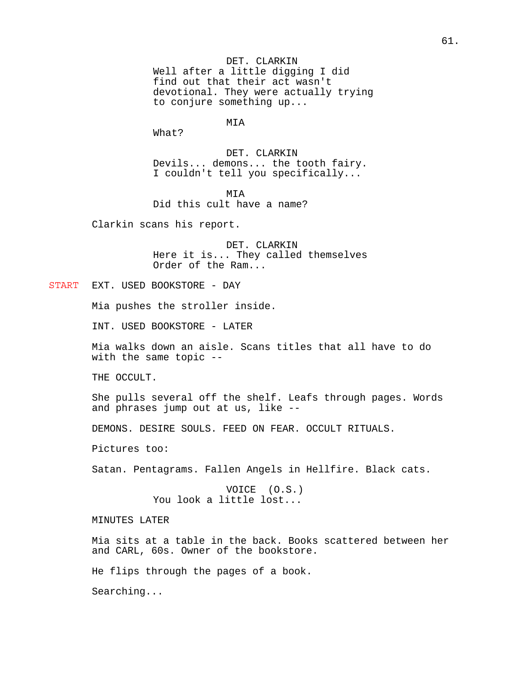DET. CLARKIN Well after a little digging I did find out that their act wasn't devotional. They were actually trying to conjure something up...

MIA

What?

DET. CLARKIN Devils... demons... the tooth fairy. I couldn't tell you specifically...

MIA

Did this cult have a name?

Clarkin scans his report.

DET. CLARKIN Here it is... They called themselves Order of the Ram...

START EXT. USED BOOKSTORE - DAY

Mia pushes the stroller inside.

INT. USED BOOKSTORE - LATER

Mia walks down an aisle. Scans titles that all have to do with the same topic --

THE OCCULT.

She pulls several off the shelf. Leafs through pages. Words and phrases jump out at us, like --

DEMONS. DESIRE SOULS. FEED ON FEAR. OCCULT RITUALS.

Pictures too:

Satan. Pentagrams. Fallen Angels in Hellfire. Black cats.

VOICE (O.S.) You look a little lost...

MINUTES LATER

Mia sits at a table in the back. Books scattered between her and CARL, 60s. Owner of the bookstore.

He flips through the pages of a book.

Searching...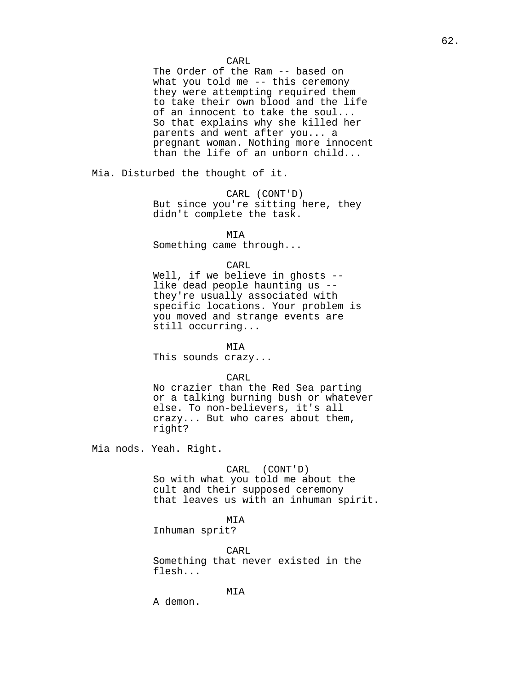CARL

The Order of the Ram -- based on what you told me -- this ceremony they were attempting required them to take their own blood and the life of an innocent to take the soul... So that explains why she killed her parents and went after you... a pregnant woman. Nothing more innocent than the life of an unborn child...

Mia. Disturbed the thought of it.

CARL (CONT'D) But since you're sitting here, they didn't complete the task.

MIA

Something came through...

## CARL

Well, if we believe in ghosts -like dead people haunting us - they're usually associated with specific locations. Your problem is you moved and strange events are still occurring...

MIA

This sounds crazy...

CARL

No crazier than the Red Sea parting or a talking burning bush or whatever else. To non-believers, it's all crazy... But who cares about them, right?

Mia nods. Yeah. Right.

CARL (CONT'D) So with what you told me about the cult and their supposed ceremony that leaves us with an inhuman spirit.

MIA

Inhuman sprit?

CARL Something that never existed in the flesh...

MIA

A demon.